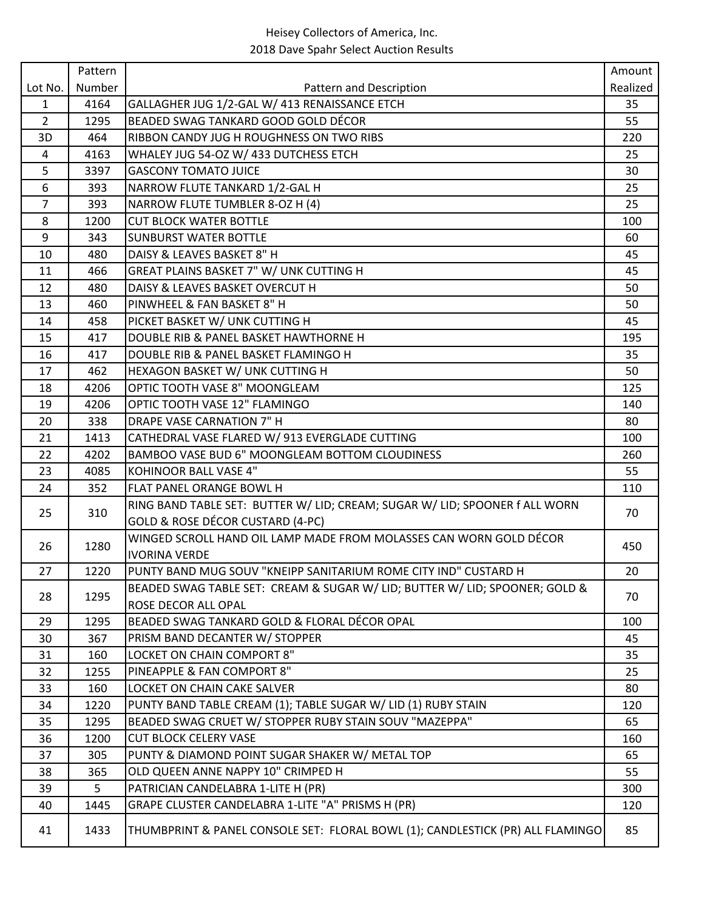|                | Pattern |                                                                                | Amount   |
|----------------|---------|--------------------------------------------------------------------------------|----------|
| Lot No.        | Number  | Pattern and Description                                                        | Realized |
| $\mathbf{1}$   | 4164    | GALLAGHER JUG 1/2-GAL W/ 413 RENAISSANCE ETCH                                  | 35       |
| $\overline{2}$ | 1295    | BEADED SWAG TANKARD GOOD GOLD DÉCOR                                            | 55       |
| 3D             | 464     | RIBBON CANDY JUG H ROUGHNESS ON TWO RIBS                                       | 220      |
| 4              | 4163    | WHALEY JUG 54-OZ W/ 433 DUTCHESS ETCH                                          | 25       |
| 5              | 3397    | <b>GASCONY TOMATO JUICE</b>                                                    | 30       |
| 6              | 393     | NARROW FLUTE TANKARD 1/2-GAL H                                                 | 25       |
| $\overline{7}$ | 393     | NARROW FLUTE TUMBLER 8-OZ H (4)                                                | 25       |
| 8              | 1200    | <b>CUT BLOCK WATER BOTTLE</b>                                                  | 100      |
| 9              | 343     | <b>SUNBURST WATER BOTTLE</b>                                                   | 60       |
| 10             | 480     | DAISY & LEAVES BASKET 8" H                                                     | 45       |
| 11             | 466     | GREAT PLAINS BASKET 7" W/ UNK CUTTING H                                        | 45       |
| 12             | 480     | DAISY & LEAVES BASKET OVERCUT H                                                | 50       |
| 13             | 460     | PINWHEEL & FAN BASKET 8" H                                                     | 50       |
| 14             | 458     | PICKET BASKET W/ UNK CUTTING H                                                 | 45       |
| 15             | 417     | DOUBLE RIB & PANEL BASKET HAWTHORNE H                                          | 195      |
| 16             | 417     | DOUBLE RIB & PANEL BASKET FLAMINGO H                                           | 35       |
| 17             | 462     | HEXAGON BASKET W/ UNK CUTTING H                                                | 50       |
| 18             | 4206    | OPTIC TOOTH VASE 8" MOONGLEAM                                                  | 125      |
| 19             | 4206    | OPTIC TOOTH VASE 12" FLAMINGO                                                  | 140      |
| 20             | 338     | <b>DRAPE VASE CARNATION 7" H</b>                                               | 80       |
| 21             | 1413    | CATHEDRAL VASE FLARED W/ 913 EVERGLADE CUTTING                                 | 100      |
| 22             | 4202    | BAMBOO VASE BUD 6" MOONGLEAM BOTTOM CLOUDINESS                                 | 260      |
| 23             | 4085    | <b>KOHINOOR BALL VASE 4"</b>                                                   | 55       |
| 24             | 352     | <b>FLAT PANEL ORANGE BOWL H</b>                                                | 110      |
| 25             | 310     | RING BAND TABLE SET: BUTTER W/ LID; CREAM; SUGAR W/ LID; SPOONER f ALL WORN    | 70       |
|                |         | GOLD & ROSE DÉCOR CUSTARD (4-PC)                                               |          |
| 26             | 1280    | WINGED SCROLL HAND OIL LAMP MADE FROM MOLASSES CAN WORN GOLD DÉCOR             | 450      |
|                |         | <b>IVORINA VERDE</b>                                                           |          |
| 27             | 1220    | PUNTY BAND MUG SOUV "KNEIPP SANITARIUM ROME CITY IND" CUSTARD H                | 20       |
| 28             | 1295    | BEADED SWAG TABLE SET: CREAM & SUGAR W/ LID; BUTTER W/ LID; SPOONER; GOLD &    | 70       |
|                |         | <b>ROSE DECOR ALL OPAL</b>                                                     |          |
| 29             | 1295    | BEADED SWAG TANKARD GOLD & FLORAL DÉCOR OPAL                                   | 100      |
| 30             | 367     | PRISM BAND DECANTER W/ STOPPER                                                 | 45       |
| 31             | 160     | LOCKET ON CHAIN COMPORT 8"                                                     | 35       |
| 32             | 1255    | PINEAPPLE & FAN COMPORT 8"                                                     | 25       |
| 33             | 160     | LOCKET ON CHAIN CAKE SALVER                                                    | 80       |
| 34             | 1220    | PUNTY BAND TABLE CREAM (1); TABLE SUGAR W/ LID (1) RUBY STAIN                  | 120      |
| 35             | 1295    | BEADED SWAG CRUET W/ STOPPER RUBY STAIN SOUV "MAZEPPA"                         | 65       |
| 36             | 1200    | <b>CUT BLOCK CELERY VASE</b>                                                   | 160      |
| 37             | 305     | PUNTY & DIAMOND POINT SUGAR SHAKER W/ METAL TOP                                | 65       |
| 38             | 365     | OLD QUEEN ANNE NAPPY 10" CRIMPED H                                             | 55       |
| 39             | 5       | PATRICIAN CANDELABRA 1-LITE H (PR)                                             | 300      |
| 40             | 1445    | GRAPE CLUSTER CANDELABRA 1-LITE "A" PRISMS H (PR)                              | 120      |
| 41             | 1433    | THUMBPRINT & PANEL CONSOLE SET: FLORAL BOWL (1); CANDLESTICK (PR) ALL FLAMINGO | 85       |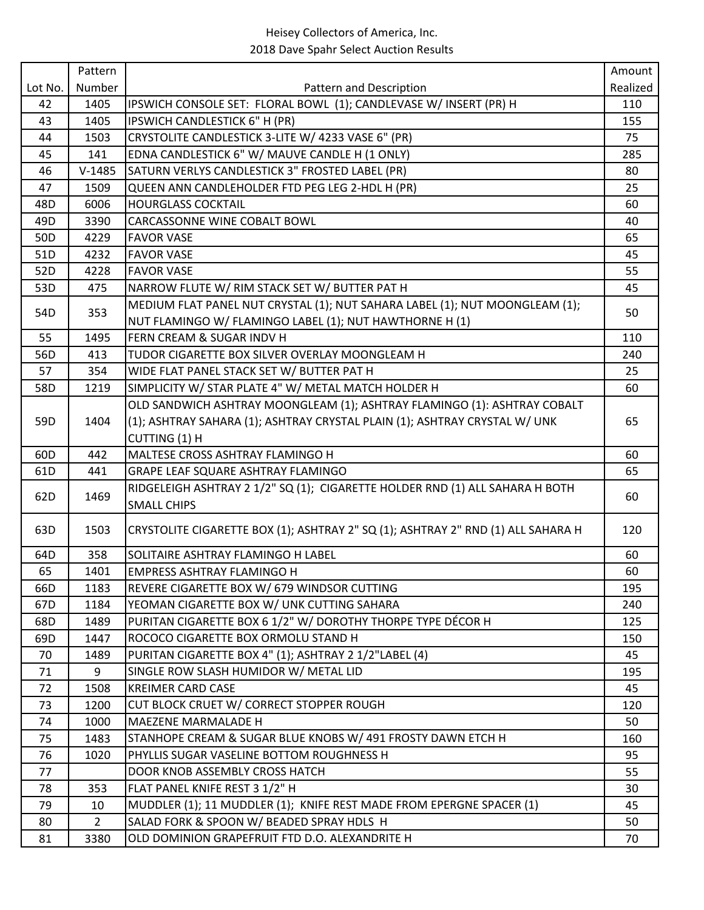|                 | Pattern        |                                                                                  | Amount   |
|-----------------|----------------|----------------------------------------------------------------------------------|----------|
| Lot No.         | Number         | Pattern and Description                                                          | Realized |
| 42              | 1405           | IPSWICH CONSOLE SET: FLORAL BOWL (1); CANDLEVASE W/ INSERT (PR) H                | 110      |
| 43              | 1405           | IPSWICH CANDLESTICK 6" H (PR)                                                    | 155      |
| 44              | 1503           | CRYSTOLITE CANDLESTICK 3-LITE W/ 4233 VASE 6" (PR)                               | 75       |
| 45              | 141            | EDNA CANDLESTICK 6" W/ MAUVE CANDLE H (1 ONLY)                                   | 285      |
| 46              | $V-1485$       | SATURN VERLYS CANDLESTICK 3" FROSTED LABEL (PR)                                  | 80       |
| 47              | 1509           | QUEEN ANN CANDLEHOLDER FTD PEG LEG 2-HDL H (PR)                                  | 25       |
| 48D             | 6006           | <b>HOURGLASS COCKTAIL</b>                                                        | 60       |
| 49D             | 3390           | CARCASSONNE WINE COBALT BOWL                                                     | 40       |
| 50D             | 4229           | <b>FAVOR VASE</b>                                                                | 65       |
| 51D             | 4232           | <b>FAVOR VASE</b>                                                                | 45       |
| 52D             | 4228           | <b>FAVOR VASE</b>                                                                | 55       |
| 53D             | 475            | NARROW FLUTE W/ RIM STACK SET W/ BUTTER PAT H                                    | 45       |
|                 |                | MEDIUM FLAT PANEL NUT CRYSTAL (1); NUT SAHARA LABEL (1); NUT MOONGLEAM (1);      |          |
| 54D             | 353            | NUT FLAMINGO W/ FLAMINGO LABEL (1); NUT HAWTHORNE H (1)                          | 50       |
| 55              | 1495           | FERN CREAM & SUGAR INDV H                                                        | 110      |
| 56D             | 413            | TUDOR CIGARETTE BOX SILVER OVERLAY MOONGLEAM H                                   | 240      |
| 57              | 354            | WIDE FLAT PANEL STACK SET W/ BUTTER PAT H                                        | 25       |
| 58D             | 1219           | SIMPLICITY W/ STAR PLATE 4" W/ METAL MATCH HOLDER H                              | 60       |
|                 |                | OLD SANDWICH ASHTRAY MOONGLEAM (1); ASHTRAY FLAMINGO (1): ASHTRAY COBALT         |          |
| 59D             | 1404           | (1); ASHTRAY SAHARA (1); ASHTRAY CRYSTAL PLAIN (1); ASHTRAY CRYSTAL W/ UNK       | 65       |
|                 |                | CUTTING (1) H                                                                    |          |
| 60 <sub>D</sub> | 442            | MALTESE CROSS ASHTRAY FLAMINGO H                                                 | 60       |
| 61D             | 441            | GRAPE LEAF SQUARE ASHTRAY FLAMINGO                                               | 65       |
|                 |                | RIDGELEIGH ASHTRAY 2 1/2" SQ (1); CIGARETTE HOLDER RND (1) ALL SAHARA H BOTH     |          |
| 62D             | 1469           | <b>SMALL CHIPS</b>                                                               | 60       |
|                 |                |                                                                                  |          |
| 63D             | 1503           | CRYSTOLITE CIGARETTE BOX (1); ASHTRAY 2" SQ (1); ASHTRAY 2" RND (1) ALL SAHARA H | 120      |
| 64D             | 358            | SOLITAIRE ASHTRAY FLAMINGO H LABEL                                               | 60       |
| 65              | 1401           | <b>EMPRESS ASHTRAY FLAMINGO H</b>                                                | 60       |
| 66D             | 1183           | REVERE CIGARETTE BOX W/ 679 WINDSOR CUTTING                                      | 195      |
| 67D             | 1184           | YEOMAN CIGARETTE BOX W/ UNK CUTTING SAHARA                                       | 240      |
| 68D             | 1489           | PURITAN CIGARETTE BOX 6 1/2" W/ DOROTHY THORPE TYPE DÉCOR H                      | 125      |
| 69D             | 1447           | ROCOCO CIGARETTE BOX ORMOLU STAND H                                              | 150      |
| 70              | 1489           | PURITAN CIGARETTE BOX 4" (1); ASHTRAY 2 1/2"LABEL (4)                            | 45       |
| 71              | 9              | SINGLE ROW SLASH HUMIDOR W/ METAL LID                                            | 195      |
| 72              | 1508           | <b>KREIMER CARD CASE</b>                                                         | 45       |
| 73              | 1200           | CUT BLOCK CRUET W/ CORRECT STOPPER ROUGH                                         | 120      |
| 74              | 1000           | MAEZENE MARMALADE H                                                              | 50       |
| 75              | 1483           | STANHOPE CREAM & SUGAR BLUE KNOBS W/ 491 FROSTY DAWN ETCH H                      | 160      |
| 76              | 1020           | PHYLLIS SUGAR VASELINE BOTTOM ROUGHNESS H                                        | 95       |
| 77              |                | DOOR KNOB ASSEMBLY CROSS HATCH                                                   | 55       |
| 78              | 353            | FLAT PANEL KNIFE REST 3 1/2" H                                                   | 30       |
| 79              | 10             | MUDDLER (1); 11 MUDDLER (1); KNIFE REST MADE FROM EPERGNE SPACER (1)             | 45       |
| 80              | $\overline{2}$ | SALAD FORK & SPOON W/ BEADED SPRAY HDLS H                                        | 50       |
| 81              | 3380           | OLD DOMINION GRAPEFRUIT FTD D.O. ALEXANDRITE H                                   | 70       |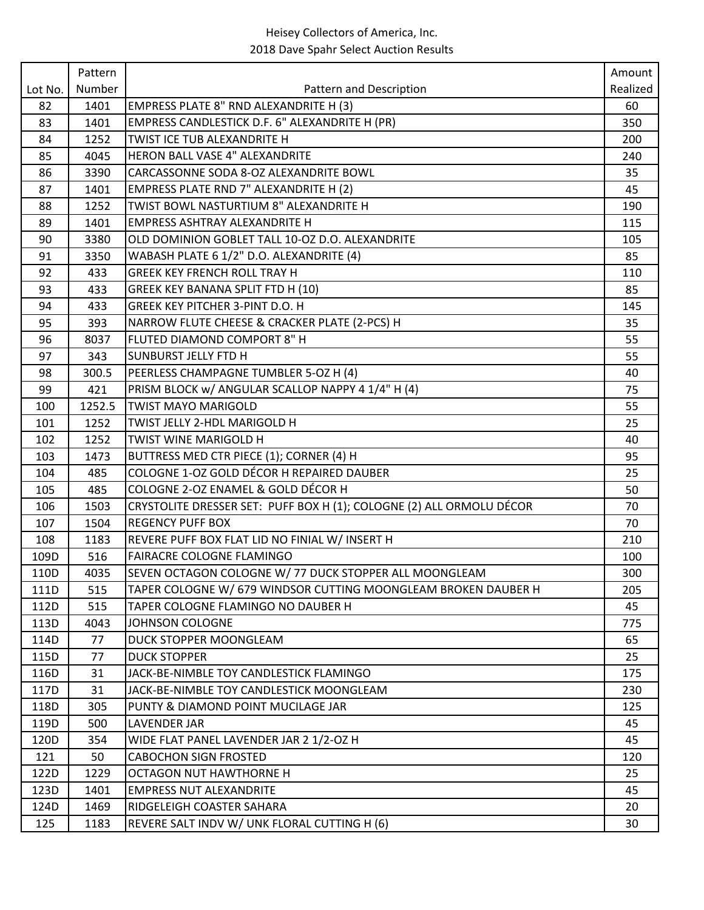|         | Pattern |                                                                             | Amount   |
|---------|---------|-----------------------------------------------------------------------------|----------|
| Lot No. | Number  | Pattern and Description                                                     | Realized |
| 82      | 1401    | EMPRESS PLATE 8" RND ALEXANDRITE H (3)                                      | 60       |
| 83      | 1401    | EMPRESS CANDLESTICK D.F. 6" ALEXANDRITE H (PR)                              | 350      |
| 84      | 1252    | TWIST ICE TUB ALEXANDRITE H                                                 | 200      |
| 85      | 4045    | HERON BALL VASE 4" ALEXANDRITE                                              | 240      |
| 86      | 3390    | CARCASSONNE SODA 8-OZ ALEXANDRITE BOWL                                      | 35       |
| 87      | 1401    | EMPRESS PLATE RND 7" ALEXANDRITE H (2)                                      | 45       |
| 88      | 1252    | TWIST BOWL NASTURTIUM 8" ALEXANDRITE H                                      | 190      |
| 89      | 1401    | <b>EMPRESS ASHTRAY ALEXANDRITE H</b>                                        | 115      |
| 90      | 3380    | OLD DOMINION GOBLET TALL 10-OZ D.O. ALEXANDRITE                             | 105      |
| 91      | 3350    | WABASH PLATE 6 1/2" D.O. ALEXANDRITE (4)                                    | 85       |
| 92      | 433     | <b>GREEK KEY FRENCH ROLL TRAY H</b>                                         | 110      |
| 93      | 433     | <b>GREEK KEY BANANA SPLIT FTD H (10)</b>                                    | 85       |
| 94      | 433     | <b>GREEK KEY PITCHER 3-PINT D.O. H</b>                                      | 145      |
| 95      | 393     | NARROW FLUTE CHEESE & CRACKER PLATE (2-PCS) H                               | 35       |
| 96      | 8037    | FLUTED DIAMOND COMPORT 8" H                                                 | 55       |
| 97      | 343     | SUNBURST JELLY FTD H                                                        | 55       |
| 98      | 300.5   | PEERLESS CHAMPAGNE TUMBLER 5-OZ H (4)                                       | 40       |
| 99      | 421     | PRISM BLOCK w/ ANGULAR SCALLOP NAPPY 4 1/4" H (4)                           | 75       |
| 100     | 1252.5  | <b>TWIST MAYO MARIGOLD</b>                                                  | 55       |
| 101     | 1252    | TWIST JELLY 2-HDL MARIGOLD H                                                | 25       |
| 102     | 1252    | TWIST WINE MARIGOLD H                                                       | 40       |
| 103     | 1473    | BUTTRESS MED CTR PIECE (1); CORNER (4) H                                    | 95       |
| 104     | 485     | COLOGNE 1-OZ GOLD DÉCOR H REPAIRED DAUBER                                   | 25       |
| 105     | 485     | COLOGNE 2-OZ ENAMEL & GOLD DÉCOR H                                          | 50       |
| 106     | 1503    | CRYSTOLITE DRESSER SET: PUFF BOX H (1);        COLOGNE (2) ALL ORMOLU DÉCOR | 70       |
| 107     | 1504    | <b>REGENCY PUFF BOX</b>                                                     | 70       |
| 108     | 1183    | REVERE PUFF BOX FLAT LID NO FINIAL W/ INSERT H                              | 210      |
| 109D    | 516     | FAIRACRE COLOGNE FLAMINGO                                                   | 100      |
| 110D    | 4035    | SEVEN OCTAGON COLOGNE W/ 77 DUCK STOPPER ALL MOONGLEAM                      | 300      |
| 111D    | 515     | TAPER COLOGNE W/ 679 WINDSOR CUTTING MOONGLEAM BROKEN DAUBER H              | 205      |
| 112D    | 515     | TAPER COLOGNE FLAMINGO NO DAUBER H                                          | 45       |
| 113D    | 4043    | JOHNSON COLOGNE                                                             | 775      |
| 114D    | 77      | <b>DUCK STOPPER MOONGLEAM</b>                                               | 65       |
| 115D    | 77      | <b>DUCK STOPPER</b>                                                         | 25       |
| 116D    | 31      | JACK-BE-NIMBLE TOY CANDLESTICK FLAMINGO                                     | 175      |
| 117D    | 31      | JACK-BE-NIMBLE TOY CANDLESTICK MOONGLEAM                                    | 230      |
| 118D    | 305     | PUNTY & DIAMOND POINT MUCILAGE JAR                                          | 125      |
| 119D    | 500     | <b>LAVENDER JAR</b>                                                         | 45       |
| 120D    | 354     | WIDE FLAT PANEL LAVENDER JAR 2 1/2-OZ H                                     | 45       |
| 121     | 50      | <b>CABOCHON SIGN FROSTED</b>                                                | 120      |
| 122D    | 1229    | <b>OCTAGON NUT HAWTHORNE H</b>                                              | 25       |
| 123D    | 1401    | <b>EMPRESS NUT ALEXANDRITE</b>                                              | 45       |
| 124D    | 1469    | RIDGELEIGH COASTER SAHARA                                                   | 20       |
| 125     | 1183    | REVERE SALT INDV W/ UNK FLORAL CUTTING H (6)                                | 30       |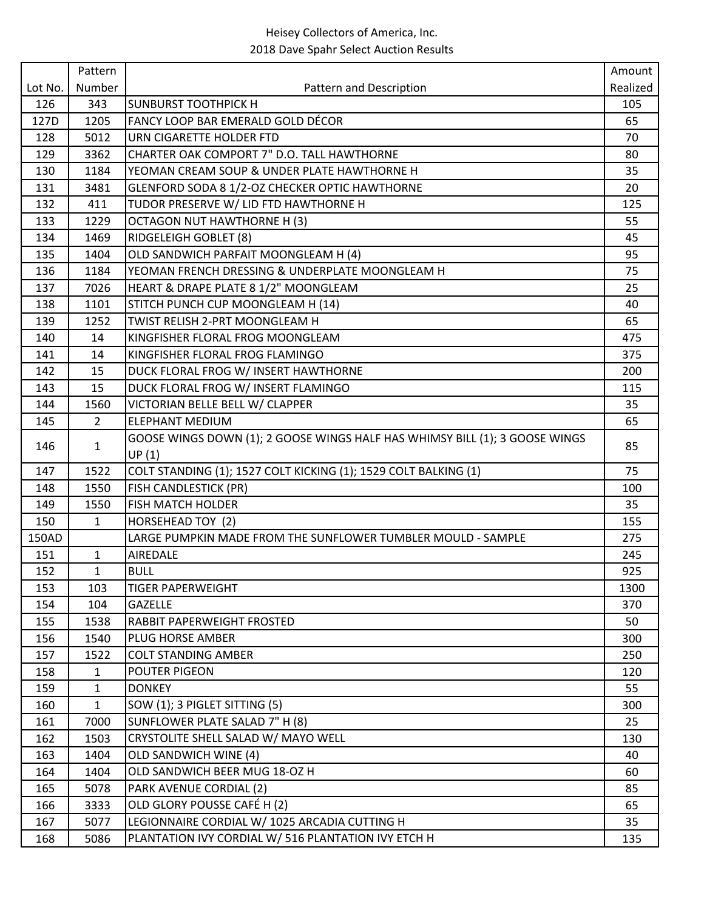|         | Pattern        |                                                                             | Amount   |
|---------|----------------|-----------------------------------------------------------------------------|----------|
| Lot No. | Number         | Pattern and Description                                                     | Realized |
| 126     | 343            | <b>SUNBURST TOOTHPICK H</b>                                                 | 105      |
| 127D    | 1205           | FANCY LOOP BAR EMERALD GOLD DÉCOR                                           | 65       |
| 128     | 5012           | URN CIGARETTE HOLDER FTD                                                    | 70       |
| 129     | 3362           | CHARTER OAK COMPORT 7" D.O. TALL HAWTHORNE                                  | 80       |
| 130     | 1184           | YEOMAN CREAM SOUP & UNDER PLATE HAWTHORNE H                                 | 35       |
| 131     | 3481           | GLENFORD SODA 8 1/2-OZ CHECKER OPTIC HAWTHORNE                              | 20       |
| 132     | 411            | TUDOR PRESERVE W/ LID FTD HAWTHORNE H                                       | 125      |
| 133     | 1229           | <b>OCTAGON NUT HAWTHORNE H (3)</b>                                          | 55       |
| 134     | 1469           | <b>RIDGELEIGH GOBLET (8)</b>                                                | 45       |
| 135     | 1404           | OLD SANDWICH PARFAIT MOONGLEAM H (4)                                        | 95       |
| 136     | 1184           | YEOMAN FRENCH DRESSING & UNDERPLATE MOONGLEAM H                             | 75       |
| 137     | 7026           | HEART & DRAPE PLATE 8 1/2" MOONGLEAM                                        | 25       |
| 138     | 1101           | STITCH PUNCH CUP MOONGLEAM H (14)                                           | 40       |
| 139     | 1252           | TWIST RELISH 2-PRT MOONGLEAM H                                              | 65       |
| 140     | 14             | KINGFISHER FLORAL FROG MOONGLEAM                                            | 475      |
| 141     | 14             | İKINGFISHER FLORAL FROG FLAMINGO                                            | 375      |
| 142     | 15             | DUCK FLORAL FROG W/ INSERT HAWTHORNE                                        | 200      |
| 143     | 15             | DUCK FLORAL FROG W/ INSERT FLAMINGO                                         | 115      |
| 144     | 1560           | VICTORIAN BELLE BELL W/ CLAPPER                                             | 35       |
| 145     | $\overline{2}$ | <b>ELEPHANT MEDIUM</b>                                                      | 65       |
| 146     | $\mathbf{1}$   | GOOSE WINGS DOWN (1); 2 GOOSE WINGS HALF HAS WHIMSY BILL (1); 3 GOOSE WINGS | 85       |
|         |                | UP(1)                                                                       |          |
| 147     | 1522           | COLT STANDING (1); 1527 COLT KICKING (1); 1529 COLT BALKING (1)             | 75       |
| 148     | 1550           | <b>FISH CANDLESTICK (PR)</b>                                                | 100      |
| 149     | 1550           | <b>FISH MATCH HOLDER</b>                                                    | 35       |
| 150     | $\mathbf{1}$   | HORSEHEAD TOY (2)                                                           | 155      |
| 150AD   |                | LARGE PUMPKIN MADE FROM THE SUNFLOWER TUMBLER MOULD - SAMPLE                | 275      |
| 151     | $\mathbf{1}$   | AIREDALE                                                                    | 245      |
| 152     | $\mathbf{1}$   | <b>BULL</b>                                                                 | 925      |
| 153     | 103            | <b>TIGER PAPERWEIGHT</b>                                                    | 1300     |
| 154     | 104            | <b>GAZELLE</b>                                                              | 370      |
| 155     | 1538           | <b>RABBIT PAPERWEIGHT FROSTED</b>                                           | 50       |
| 156     | 1540           | <b>IPLUG HORSE AMBER</b>                                                    | 300      |
| 157     | 1522           | <b>COLT STANDING AMBER</b>                                                  | 250      |
| 158     | 1              | <b>POUTER PIGEON</b>                                                        | 120      |
| 159     | $\mathbf{1}$   | <b>DONKEY</b>                                                               | 55       |
| 160     | $\mathbf{1}$   | SOW (1); 3 PIGLET SITTING (5)                                               | 300      |
| 161     | 7000           | SUNFLOWER PLATE SALAD 7" H (8)                                              | 25       |
| 162     | 1503           | CRYSTOLITE SHELL SALAD W/ MAYO WELL                                         | 130      |
| 163     | 1404           | <b>OLD SANDWICH WINE (4)</b>                                                | 40       |
| 164     | 1404           | OLD SANDWICH BEER MUG 18-OZ H                                               | 60       |
| 165     | 5078           | PARK AVENUE CORDIAL (2)                                                     | 85       |
| 166     | 3333           | OLD GLORY POUSSE CAFÉ H (2)                                                 | 65       |
| 167     | 5077           | LEGIONNAIRE CORDIAL W/ 1025 ARCADIA CUTTING H                               | 35       |
| 168     | 5086           | PLANTATION IVY CORDIAL W/ 516 PLANTATION IVY ETCH H                         | 135      |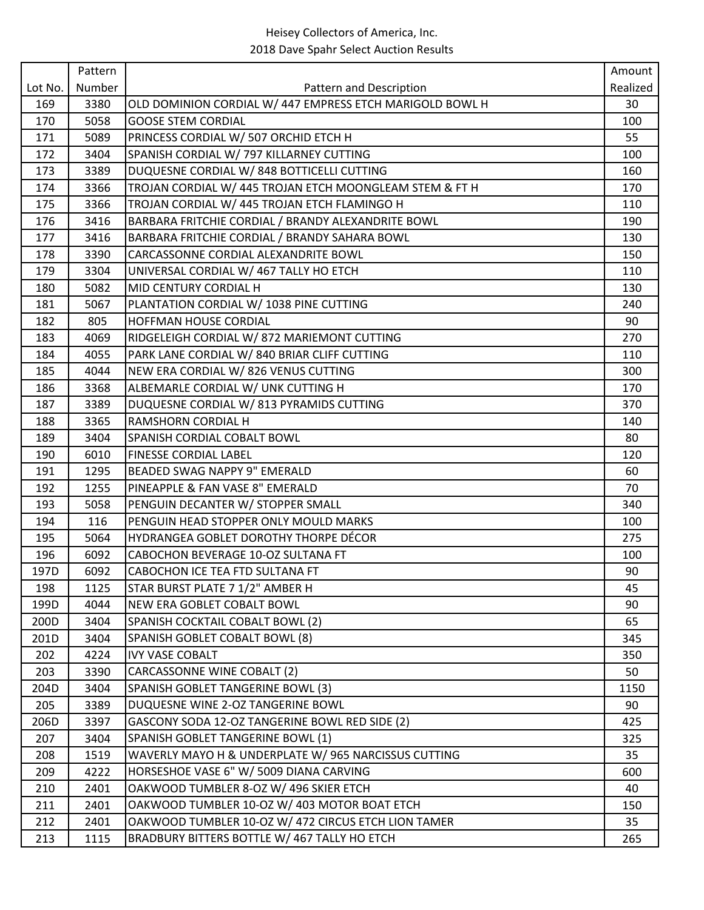|         | Pattern |                                                          | Amount   |
|---------|---------|----------------------------------------------------------|----------|
| Lot No. | Number  | Pattern and Description                                  | Realized |
| 169     | 3380    | OLD DOMINION CORDIAL W/ 447 EMPRESS ETCH MARIGOLD BOWL H | 30       |
| 170     | 5058    | <b>GOOSE STEM CORDIAL</b>                                | 100      |
| 171     | 5089    | PRINCESS CORDIAL W/ 507 ORCHID ETCH H                    | 55       |
| 172     | 3404    | SPANISH CORDIAL W/ 797 KILLARNEY CUTTING                 | 100      |
| 173     | 3389    | DUQUESNE CORDIAL W/848 BOTTICELLI CUTTING                | 160      |
| 174     | 3366    | TROJAN CORDIAL W/ 445 TROJAN ETCH MOONGLEAM STEM & FT H  | 170      |
| 175     | 3366    | TROJAN CORDIAL W/ 445 TROJAN ETCH FLAMINGO H             | 110      |
| 176     | 3416    | BARBARA FRITCHIE CORDIAL / BRANDY ALEXANDRITE BOWL       | 190      |
| 177     | 3416    | BARBARA FRITCHIE CORDIAL / BRANDY SAHARA BOWL            | 130      |
| 178     | 3390    | CARCASSONNE CORDIAL ALEXANDRITE BOWL                     | 150      |
| 179     | 3304    | UNIVERSAL CORDIAL W/ 467 TALLY HO ETCH                   | 110      |
| 180     | 5082    | MID CENTURY CORDIAL H                                    | 130      |
| 181     | 5067    | PLANTATION CORDIAL W/ 1038 PINE CUTTING                  | 240      |
| 182     | 805     | <b>HOFFMAN HOUSE CORDIAL</b>                             | 90       |
| 183     | 4069    | RIDGELEIGH CORDIAL W/872 MARIEMONT CUTTING               | 270      |
| 184     | 4055    | PARK LANE CORDIAL W/ 840 BRIAR CLIFF CUTTING             | 110      |
| 185     | 4044    | NEW ERA CORDIAL W/826 VENUS CUTTING                      | 300      |
| 186     | 3368    | ALBEMARLE CORDIAL W/ UNK CUTTING H                       | 170      |
| 187     | 3389    | DUQUESNE CORDIAL W/813 PYRAMIDS CUTTING                  | 370      |
| 188     | 3365    | <b>RAMSHORN CORDIAL H</b>                                | 140      |
| 189     | 3404    | SPANISH CORDIAL COBALT BOWL                              | 80       |
| 190     | 6010    | <b>FINESSE CORDIAL LABEL</b>                             | 120      |
| 191     | 1295    | BEADED SWAG NAPPY 9" EMERALD                             | 60       |
| 192     | 1255    | PINEAPPLE & FAN VASE 8" EMERALD                          | 70       |
| 193     | 5058    | PENGUIN DECANTER W/ STOPPER SMALL                        | 340      |
| 194     | 116     | PENGUIN HEAD STOPPER ONLY MOULD MARKS                    | 100      |
| 195     | 5064    | HYDRANGEA GOBLET DOROTHY THORPE DÉCOR                    | 275      |
| 196     | 6092    | CABOCHON BEVERAGE 10-OZ SULTANA FT                       | 100      |
| 197D    | 6092    | CABOCHON ICE TEA FTD SULTANA FT                          | 90       |
| 198     | 1125    | STAR BURST PLATE 7 1/2" AMBER H                          | 45       |
| 199D    | 4044    | NEW ERA GOBLET COBALT BOWL                               | 90       |
| 200D    | 3404    | SPANISH COCKTAIL COBALT BOWL (2)                         | 65       |
| 201D    | 3404    | SPANISH GOBLET COBALT BOWL (8)                           | 345      |
| 202     | 4224    | <b>IVY VASE COBALT</b>                                   | 350      |
| 203     | 3390    | CARCASSONNE WINE COBALT (2)                              | 50       |
| 204D    | 3404    | SPANISH GOBLET TANGERINE BOWL (3)                        | 1150     |
| 205     | 3389    | DUQUESNE WINE 2-OZ TANGERINE BOWL                        | 90       |
| 206D    | 3397    | GASCONY SODA 12-OZ TANGERINE BOWL RED SIDE (2)           | 425      |
| 207     | 3404    | SPANISH GOBLET TANGERINE BOWL (1)                        | 325      |
| 208     | 1519    | WAVERLY MAYO H & UNDERPLATE W/ 965 NARCISSUS CUTTING     | 35       |
| 209     | 4222    | HORSESHOE VASE 6" W/ 5009 DIANA CARVING                  | 600      |
| 210     | 2401    | OAKWOOD TUMBLER 8-OZ W/ 496 SKIER ETCH                   | 40       |
| 211     | 2401    | OAKWOOD TUMBLER 10-OZ W/ 403 MOTOR BOAT ETCH             | 150      |
| 212     | 2401    | OAKWOOD TUMBLER 10-OZ W/ 472 CIRCUS ETCH LION TAMER      | 35       |
| 213     | 1115    | BRADBURY BITTERS BOTTLE W/ 467 TALLY HO ETCH             | 265      |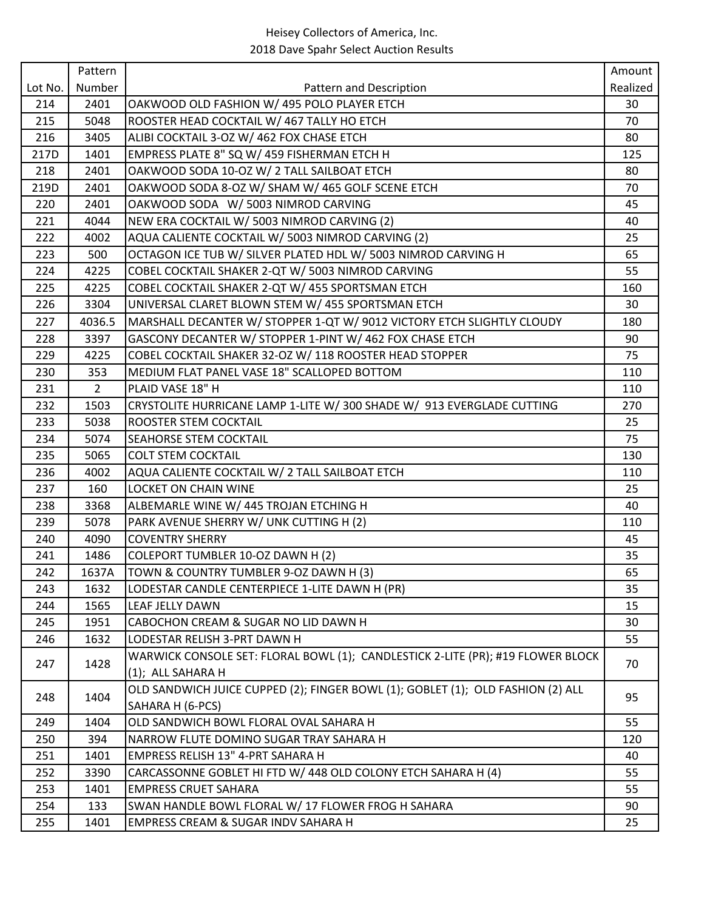|         | Pattern     |                                                                                 | Amount   |
|---------|-------------|---------------------------------------------------------------------------------|----------|
| Lot No. | Number      | Pattern and Description                                                         | Realized |
| 214     | 2401        | OAKWOOD OLD FASHION W/ 495 POLO PLAYER ETCH                                     | 30       |
| 215     | 5048        | ROOSTER HEAD COCKTAIL W/ 467 TALLY HO ETCH                                      | 70       |
| 216     | 3405        | ALIBI COCKTAIL 3-OZ W/ 462 FOX CHASE ETCH                                       | 80       |
| 217D    | 1401        | EMPRESS PLATE 8" SQ W/ 459 FISHERMAN ETCH H                                     | 125      |
| 218     | 2401        | OAKWOOD SODA 10-OZ W/ 2 TALL SAILBOAT ETCH                                      | 80       |
| 219D    | 2401        | OAKWOOD SODA 8-OZ W/ SHAM W/ 465 GOLF SCENE ETCH                                | 70       |
| 220     | 2401        | OAKWOOD SODA W/ 5003 NIMROD CARVING                                             | 45       |
| 221     | 4044        | NEW ERA COCKTAIL W/ 5003 NIMROD CARVING (2)                                     | 40       |
| 222     | 4002        | AQUA CALIENTE COCKTAIL W/ 5003 NIMROD CARVING (2)                               | 25       |
| 223     | 500         | OCTAGON ICE TUB W/ SILVER PLATED HDL W/ 5003 NIMROD CARVING H                   | 65       |
| 224     | 4225        | COBEL COCKTAIL SHAKER 2-QT W/ 5003 NIMROD CARVING                               | 55       |
| 225     | 4225        | COBEL COCKTAIL SHAKER 2-QT W/ 455 SPORTSMAN ETCH                                | 160      |
| 226     | 3304        | UNIVERSAL CLARET BLOWN STEM W/ 455 SPORTSMAN ETCH                               | 30       |
| 227     | 4036.5      | MARSHALL DECANTER W/ STOPPER 1-QT W/ 9012 VICTORY ETCH SLIGHTLY CLOUDY          | 180      |
| 228     | 3397        | GASCONY DECANTER W/ STOPPER 1-PINT W/ 462 FOX CHASE ETCH                        | 90       |
| 229     | 4225        | COBEL COCKTAIL SHAKER 32-OZ W/ 118 ROOSTER HEAD STOPPER                         | 75       |
| 230     | 353         | MEDIUM FLAT PANEL VASE 18" SCALLOPED BOTTOM                                     | 110      |
| 231     | $2^{\circ}$ | PLAID VASE 18" H                                                                | 110      |
| 232     | 1503        | CRYSTOLITE HURRICANE LAMP 1-LITE W/ 300 SHADE W/ 913 EVERGLADE CUTTING          | 270      |
| 233     | 5038        | <b>ROOSTER STEM COCKTAIL</b>                                                    | 25       |
| 234     | 5074        | <b>SEAHORSE STEM COCKTAIL</b>                                                   | 75       |
| 235     | 5065        | <b>COLT STEM COCKTAIL</b>                                                       | 130      |
| 236     | 4002        | AQUA CALIENTE COCKTAIL W/ 2 TALL SAILBOAT ETCH                                  | 110      |
| 237     | 160         | LOCKET ON CHAIN WINE                                                            | 25       |
| 238     | 3368        | ALBEMARLE WINE W/ 445 TROJAN ETCHING H                                          | 40       |
| 239     | 5078        | PARK AVENUE SHERRY W/ UNK CUTTING H (2)                                         | 110      |
| 240     | 4090        | <b>COVENTRY SHERRY</b>                                                          | 45       |
| 241     | 1486        | COLEPORT TUMBLER 10-OZ DAWN H (2)                                               | 35       |
| 242     | 1637A       | TOWN & COUNTRY TUMBLER 9-OZ DAWN H (3)                                          | 65       |
| 243     | 1632        | LODESTAR CANDLE CENTERPIECE 1-LITE DAWN H (PR)                                  | 35       |
| 244     | 1565        | LEAF JELLY DAWN                                                                 | 15       |
| 245     | 1951        | CABOCHON CREAM & SUGAR NO LID DAWN H                                            | 30       |
| 246     | 1632        | LODESTAR RELISH 3-PRT DAWN H                                                    | 55       |
|         |             | WARWICK CONSOLE SET: FLORAL BOWL (1); CANDLESTICK 2-LITE (PR); #19 FLOWER BLOCK |          |
| 247     | 1428        | (1); ALL SAHARA H                                                               | 70       |
|         |             | OLD SANDWICH JUICE CUPPED (2); FINGER BOWL (1); GOBLET (1); OLD FASHION (2) ALL |          |
| 248     | 1404        | SAHARA H (6-PCS)                                                                | 95       |
| 249     | 1404        | OLD SANDWICH BOWL FLORAL OVAL SAHARA H                                          | 55       |
| 250     | 394         | NARROW FLUTE DOMINO SUGAR TRAY SAHARA H                                         | 120      |
| 251     | 1401        | EMPRESS RELISH 13" 4-PRT SAHARA H                                               | 40       |
| 252     | 3390        | CARCASSONNE GOBLET HI FTD W/ 448 OLD COLONY ETCH SAHARA H (4)                   | 55       |
| 253     | 1401        | <b>EMPRESS CRUET SAHARA</b>                                                     | 55       |
| 254     |             |                                                                                 |          |
|         | 133         | SWAN HANDLE BOWL FLORAL W/ 17 FLOWER FROG H SAHARA                              | 90       |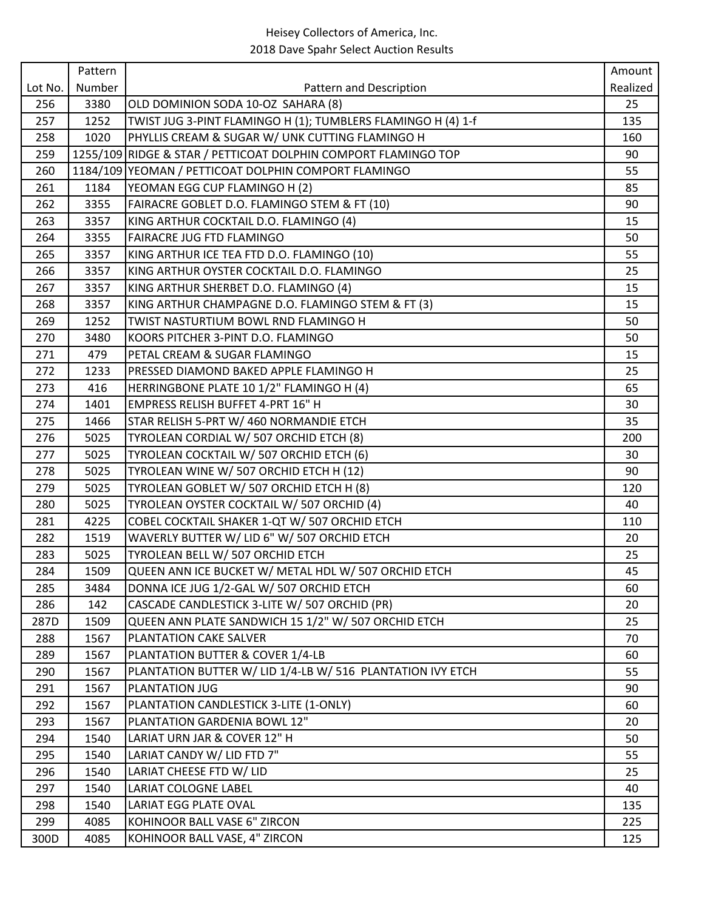|            | Pattern      |                                                                | Amount     |
|------------|--------------|----------------------------------------------------------------|------------|
| Lot No.    | Number       | Pattern and Description                                        | Realized   |
| 256        | 3380         | OLD DOMINION SODA 10-OZ SAHARA (8)                             | 25         |
| 257        | 1252         | TWIST JUG 3-PINT FLAMINGO H (1); TUMBLERS FLAMINGO H (4) 1-f   | 135        |
| 258        | 1020         | PHYLLIS CREAM & SUGAR W/ UNK CUTTING FLAMINGO H                | 160        |
| 259        |              | 1255/109 RIDGE & STAR / PETTICOAT DOLPHIN COMPORT FLAMINGO TOP | 90         |
| 260        |              | 1184/109 YEOMAN / PETTICOAT DOLPHIN COMPORT FLAMINGO           | 55         |
| 261        | 1184         | YEOMAN EGG CUP FLAMINGO H (2)                                  | 85         |
| 262        | 3355         | FAIRACRE GOBLET D.O. FLAMINGO STEM & FT (10)                   | 90         |
| 263        | 3357         | KING ARTHUR COCKTAIL D.O. FLAMINGO (4)                         | 15         |
| 264        | 3355         | <b>FAIRACRE JUG FTD FLAMINGO</b>                               | 50         |
| 265        | 3357         | KING ARTHUR ICE TEA FTD D.O. FLAMINGO (10)                     | 55         |
| 266        | 3357         | KING ARTHUR OYSTER COCKTAIL D.O. FLAMINGO                      | 25         |
| 267        | 3357         | KING ARTHUR SHERBET D.O. FLAMINGO (4)                          | 15         |
| 268        | 3357         | KING ARTHUR CHAMPAGNE D.O. FLAMINGO STEM & FT (3)              | 15         |
| 269        | 1252         | TWIST NASTURTIUM BOWL RND FLAMINGO H                           | 50         |
| 270        | 3480         | KOORS PITCHER 3-PINT D.O. FLAMINGO                             | 50         |
| 271        | 479          | PETAL CREAM & SUGAR FLAMINGO                                   | 15         |
| 272        | 1233         | PRESSED DIAMOND BAKED APPLE FLAMINGO H                         | 25         |
| 273        | 416          | HERRINGBONE PLATE 10 1/2" FLAMINGO H (4)                       | 65         |
| 274        | 1401         | EMPRESS RELISH BUFFET 4-PRT 16" H                              | 30         |
| 275        | 1466         | STAR RELISH 5-PRT W/ 460 NORMANDIE ETCH                        | 35         |
| 276        | 5025         | TYROLEAN CORDIAL W/ 507 ORCHID ETCH (8)                        | 200        |
| 277        | 5025         | TYROLEAN COCKTAIL W/ 507 ORCHID ETCH (6)                       | 30         |
| 278        | 5025         | TYROLEAN WINE W/ 507 ORCHID ETCH H (12)                        | 90         |
| 279        | 5025         | TYROLEAN GOBLET W/ 507 ORCHID ETCH H (8)                       | 120        |
| 280        | 5025         | TYROLEAN OYSTER COCKTAIL W/ 507 ORCHID (4)                     | 40         |
| 281        | 4225         | COBEL COCKTAIL SHAKER 1-QT W/ 507 ORCHID ETCH                  | 110        |
| 282        | 1519         | WAVERLY BUTTER W/ LID 6" W/ 507 ORCHID ETCH                    | 20         |
| 283        | 5025         | TYROLEAN BELL W/ 507 ORCHID ETCH                               | 25         |
| 284        | 1509         | QUEEN ANN ICE BUCKET W/ METAL HDL W/ 507 ORCHID ETCH           | 45         |
| 285        | 3484         | DONNA ICE JUG 1/2-GAL W/ 507 ORCHID ETCH                       | 60         |
| 286        | 142          | CASCADE CANDLESTICK 3-LITE W/ 507 ORCHID (PR)                  | 20         |
| 287D       | 1509         | QUEEN ANN PLATE SANDWICH 15 1/2" W/ 507 ORCHID ETCH            | 25         |
| 288        | 1567         | PLANTATION CAKE SALVER                                         | 70         |
| 289        | 1567         | PLANTATION BUTTER & COVER 1/4-LB                               | 60         |
| 290        | 1567         | PLANTATION BUTTER W/ LID 1/4-LB W/ 516 PLANTATION IVY ETCH     | 55         |
| 291        | 1567         | <b>PLANTATION JUG</b>                                          | 90         |
| 292        | 1567         | PLANTATION CANDLESTICK 3-LITE (1-ONLY)                         | 60         |
| 293        | 1567         | PLANTATION GARDENIA BOWL 12"                                   | 20         |
| 294        | 1540         | LARIAT URN JAR & COVER 12" H                                   | 50         |
| 295        | 1540         | LARIAT CANDY W/ LID FTD 7"                                     | 55         |
| 296        | 1540         | LARIAT CHEESE FTD W/ LID                                       | 25         |
| 297        | 1540         | <b>LARIAT COLOGNE LABEL</b><br><b>LARIAT EGG PLATE OVAL</b>    | 40         |
| 298<br>299 | 1540<br>4085 | KOHINOOR BALL VASE 6" ZIRCON                                   | 135<br>225 |
|            | 4085         | KOHINOOR BALL VASE, 4" ZIRCON                                  | 125        |
| 300D       |              |                                                                |            |